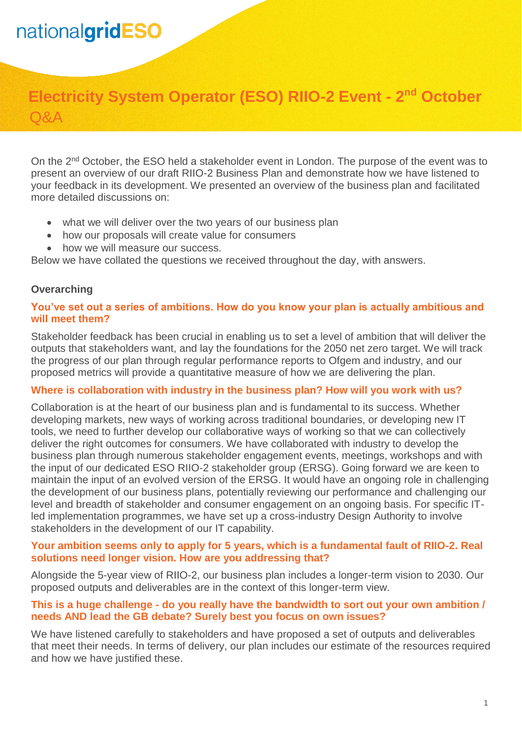# nationalgridESO

# **Electricity System Operator (ESO) RIIO-2 Event - 2 nd October** Q&A

On the 2<sup>nd</sup> October, the ESO held a stakeholder event in London. The purpose of the event was to present an overview of our draft RIIO-2 Business Plan and demonstrate how we have listened to your feedback in its development. We presented an overview of the business plan and facilitated more detailed discussions on:

- what we will deliver over the two years of our business plan
- how our proposals will create value for consumers
- how we will measure our success.

Below we have collated the questions we received throughout the day, with answers.

# **Overarching**

#### **You've set out a series of ambitions. How do you know your plan is actually ambitious and will meet them?**

Stakeholder feedback has been crucial in enabling us to set a level of ambition that will deliver the outputs that stakeholders want, and lay the foundations for the 2050 net zero target. We will track the progress of our plan through regular performance reports to Ofgem and industry, and our proposed metrics will provide a quantitative measure of how we are delivering the plan.

# **Where is collaboration with industry in the business plan? How will you work with us?**

Collaboration is at the heart of our business plan and is fundamental to its success. Whether developing markets, new ways of working across traditional boundaries, or developing new IT tools, we need to further develop our collaborative ways of working so that we can collectively deliver the right outcomes for consumers. We have collaborated with industry to develop the business plan through numerous stakeholder engagement events, meetings, workshops and with the input of our dedicated ESO RIIO-2 stakeholder group (ERSG). Going forward we are keen to maintain the input of an evolved version of the ERSG. It would have an ongoing role in challenging the development of our business plans, potentially reviewing our performance and challenging our level and breadth of stakeholder and consumer engagement on an ongoing basis. For specific ITled implementation programmes, we have set up a cross-industry Design Authority to involve stakeholders in the development of our IT capability.

#### **Your ambition seems only to apply for 5 years, which is a fundamental fault of RIIO-2. Real solutions need longer vision. How are you addressing that?**

Alongside the 5-year view of RIIO-2, our business plan includes a longer-term vision to 2030. Our proposed outputs and deliverables are in the context of this longer-term view.

#### **This is a huge challenge - do you really have the bandwidth to sort out your own ambition / needs AND lead the GB debate? Surely best you focus on own issues?**

We have listened carefully to stakeholders and have proposed a set of outputs and deliverables that meet their needs. In terms of delivery, our plan includes our estimate of the resources required and how we have justified these.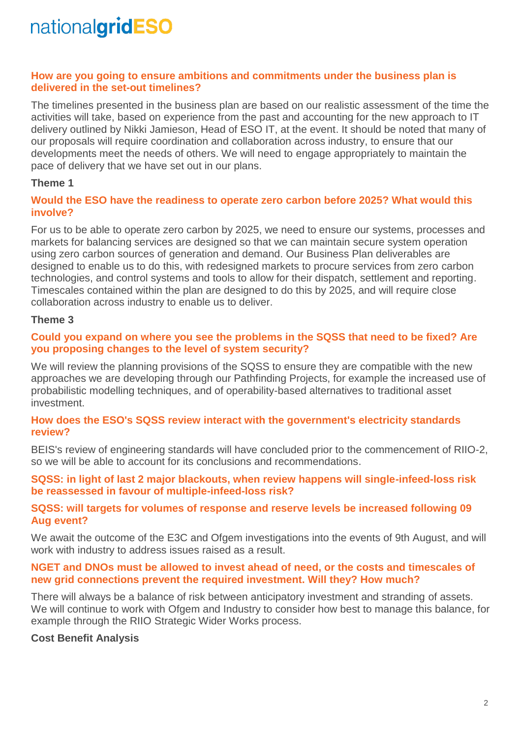# nationalgridESO

#### **How are you going to ensure ambitions and commitments under the business plan is delivered in the set-out timelines?**

The timelines presented in the business plan are based on our realistic assessment of the time the activities will take, based on experience from the past and accounting for the new approach to IT delivery outlined by Nikki Jamieson, Head of ESO IT, at the event. It should be noted that many of our proposals will require coordination and collaboration across industry, to ensure that our developments meet the needs of others. We will need to engage appropriately to maintain the pace of delivery that we have set out in our plans.

### **Theme 1**

#### **Would the ESO have the readiness to operate zero carbon before 2025? What would this involve?**

For us to be able to operate zero carbon by 2025, we need to ensure our systems, processes and markets for balancing services are designed so that we can maintain secure system operation using zero carbon sources of generation and demand. Our Business Plan deliverables are designed to enable us to do this, with redesigned markets to procure services from zero carbon technologies, and control systems and tools to allow for their dispatch, settlement and reporting. Timescales contained within the plan are designed to do this by 2025, and will require close collaboration across industry to enable us to deliver.

#### **Theme 3**

### **Could you expand on where you see the problems in the SQSS that need to be fixed? Are you proposing changes to the level of system security?**

We will review the planning provisions of the SQSS to ensure they are compatible with the new approaches we are developing through our Pathfinding Projects, for example the increased use of probabilistic modelling techniques, and of operability-based alternatives to traditional asset investment.

#### **How does the ESO's SQSS review interact with the government's electricity standards review?**

BEIS's review of engineering standards will have concluded prior to the commencement of RIIO-2, so we will be able to account for its conclusions and recommendations.

#### **SQSS: in light of last 2 major blackouts, when review happens will single-infeed-loss risk be reassessed in favour of multiple-infeed-loss risk?**

#### **SQSS: will targets for volumes of response and reserve levels be increased following 09 Aug event?**

We await the outcome of the E3C and Ofgem investigations into the events of 9th August, and will work with industry to address issues raised as a result.

#### **NGET and DNOs must be allowed to invest ahead of need, or the costs and timescales of new grid connections prevent the required investment. Will they? How much?**

There will always be a balance of risk between anticipatory investment and stranding of assets. We will continue to work with Ofgem and Industry to consider how best to manage this balance, for example through the RIIO Strategic Wider Works process.

# **Cost Benefit Analysis**